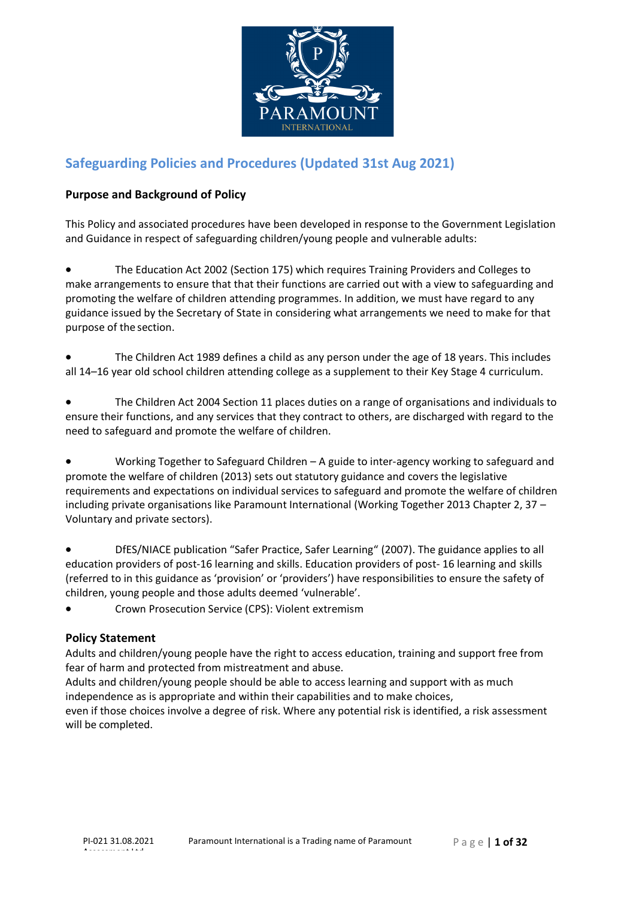

# **Safeguarding Policies and Procedures (Updated 31st Aug 2021)**

## **Purpose and Background of Policy**

This Policy and associated procedures have been developed in response to the Government Legislation and Guidance in respect of safeguarding children/young people and vulnerable adults:

• The Education Act 2002 (Section 175) which requires Training Providers and Colleges to make arrangements to ensure that that their functions are carried out with a view to safeguarding and promoting the welfare of children attending programmes. In addition, we must have regard to any guidance issued by the Secretary of State in considering what arrangements we need to make for that purpose of the section.

• The Children Act 1989 defines a child as any person under the age of 18 years. This includes all 14–16 year old school children attending college as a supplement to their Key Stage 4 curriculum.

• The Children Act 2004 Section 11 places duties on a range of organisations and individuals to ensure their functions, and any services that they contract to others, are discharged with regard to the need to safeguard and promote the welfare of children.

• Working Together to Safeguard Children – A guide to inter‐agency working to safeguard and promote the welfare of children (2013) sets out statutory guidance and covers the legislative requirements and expectations on individual services to safeguard and promote the welfare of children including private organisations like Paramount International (Working Together 2013 Chapter 2, 37 – Voluntary and private sectors).

• DfES/NIACE publication "Safer Practice, Safer Learning" (2007). The guidance applies to all education providers of post‐16 learning and skills. Education providers of post‐ 16 learning and skills (referred to in this guidance as 'provision' or 'providers') have responsibilities to ensure the safety of children, young people and those adults deemed 'vulnerable'.

• Crown Prosecution Service (CPS): Violent extremism

## **Policy Statement**

Adults and children/young people have the right to access education, training and support free from fear of harm and protected from mistreatment and abuse.

Adults and children/young people should be able to access learning and support with as much independence as is appropriate and within their capabilities and to make choices,

even if those choices involve a degree of risk. Where any potential risk is identified, a risk assessment will be completed.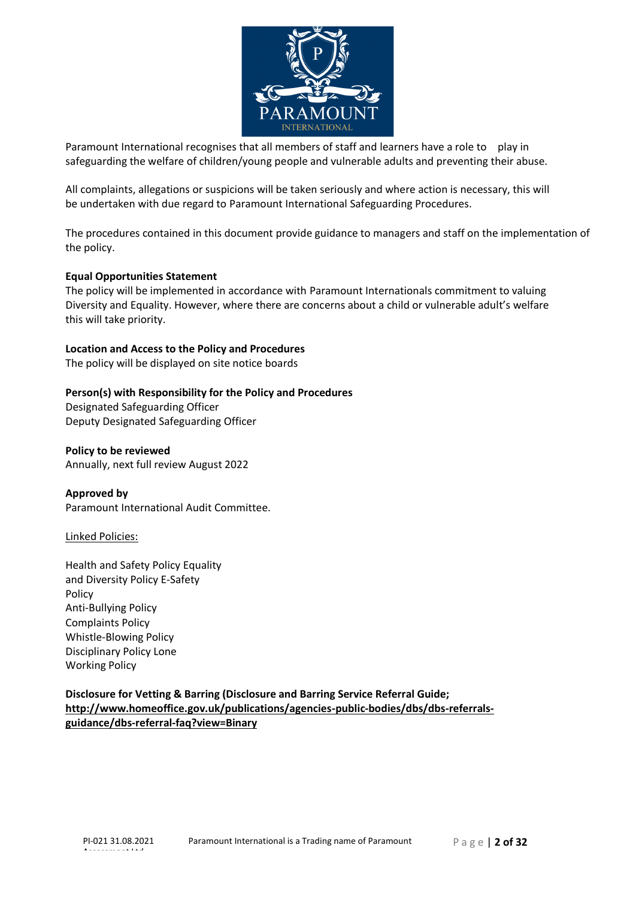

Paramount International recognises that all members of staff and learners have a role to play in safeguarding the welfare of children/young people and vulnerable adults and preventing their abuse.

All complaints, allegations or suspicions will be taken seriously and where action is necessary, this will be undertaken with due regard to Paramount International Safeguarding Procedures.

The procedures contained in this document provide guidance to managers and staff on the implementation of the policy.

#### **Equal Opportunities Statement**

The policy will be implemented in accordance with Paramount Internationals commitment to valuing Diversity and Equality. However, where there are concerns about a child or vulnerable adult's welfare this will take priority.

#### **Location and Access to the Policy and Procedures**

The policy will be displayed on site notice boards

#### **Person(s) with Responsibility for the Policy and Procedures**

Designated Safeguarding Officer Deputy Designated Safeguarding Officer

**Policy to be reviewed** Annually, next full review August 2022

**Approved by** Paramount International Audit Committee.

#### Linked Policies:

Health and Safety Policy Equality and Diversity Policy E‐Safety Policy Anti‐Bullying Policy Complaints Policy Whistle‐Blowing Policy Disciplinary Policy Lone Working Policy

## **Disclosure for Vetting & Barring (Disclosure and Barring Service Referral Guide; <http://www.homeoffice.gov.uk/publications/agencies>‐public‐bodies/dbs/dbs‐referrals‐ guidance/dbs‐referral‐faq?view=Binary**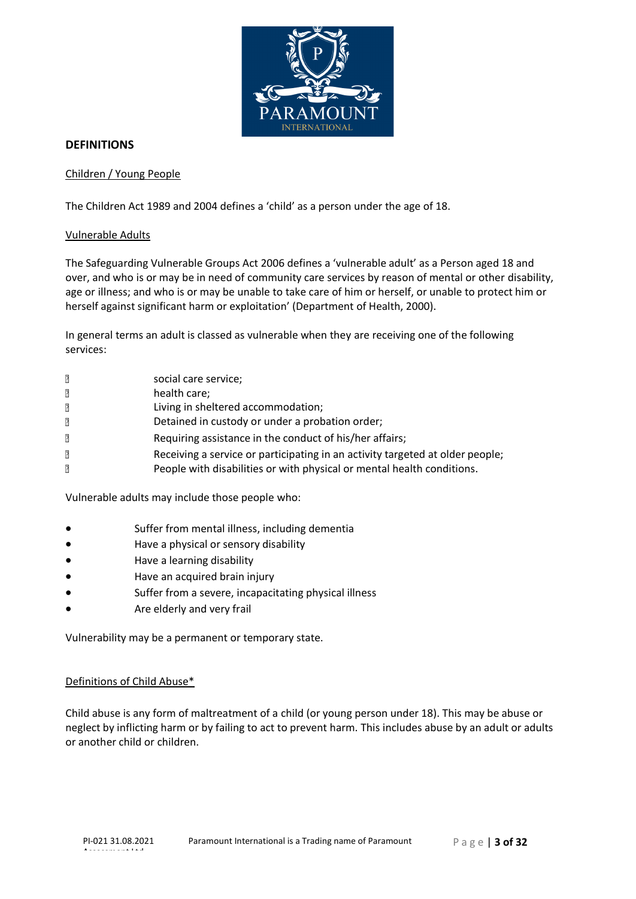

## **DEFINITIONS**

## Children / Young People

The Children Act 1989 and 2004 defines a 'child' as a person under the age of 18.

#### Vulnerable Adults

The Safeguarding Vulnerable Groups Act 2006 defines a 'vulnerable adult' as a Person aged 18 and over, and who is or may be in need of community care services by reason of mental or other disability, age or illness; and who is or may be unable to take care of him or herself, or unable to protect him or herself against significant harm or exploitation' (Department of Health, 2000).

In general terms an adult is classed as vulnerable when they are receiving one of the following services:

| $\overline{2}$ | social care service;                                                          |
|----------------|-------------------------------------------------------------------------------|
| $\sqrt{2}$     | health care;                                                                  |
| $\overline{?}$ | Living in sheltered accommodation;                                            |
| $\sqrt{2}$     | Detained in custody or under a probation order;                               |
| $\overline{?}$ | Requiring assistance in the conduct of his/her affairs;                       |
| $\overline{2}$ | Receiving a service or participating in an activity targeted at older people; |
| $\overline{2}$ | People with disabilities or with physical or mental health conditions.        |
|                |                                                                               |

Vulnerable adults may include those people who:

- Suffer from mental illness, including dementia
- Have a physical or sensory disability
- Have a learning disability
- Have an acquired brain injury
- Suffer from a severe, incapacitating physical illness
- Are elderly and very frail

Vulnerability may be a permanent or temporary state.

#### Definitions of Child Abuse\*

Child abuse is any form of maltreatment of a child (or young person under 18). This may be abuse or neglect by inflicting harm or by failing to act to prevent harm. This includes abuse by an adult or adults or another child or children.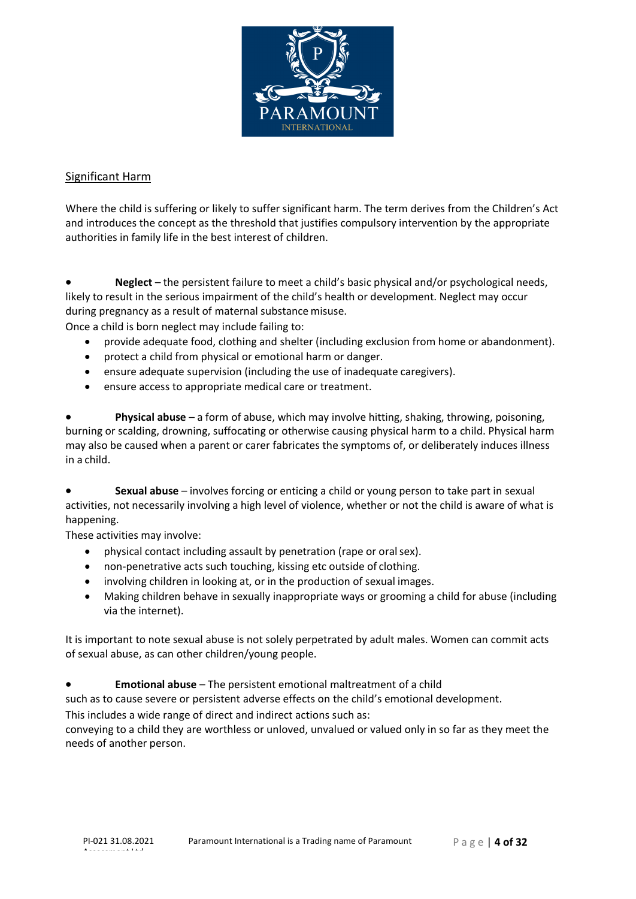

## Significant Harm

Where the child is suffering or likely to suffer significant harm. The term derives from the Children's Act and introduces the concept as the threshold that justifies compulsory intervention by the appropriate authorities in family life in the best interest of children.

Neglect – the persistent failure to meet a child's basic physical and/or psychological needs, likely to result in the serious impairment of the child's health or development. Neglect may occur during pregnancy as a result of maternal substancemisuse.

Once a child is born neglect may include failing to:

- provide adequate food, clothing and shelter (including exclusion from home or abandonment).
- protect a child from physical or emotional harm or danger.
- ensure adequate supervision (including the use of inadequate caregivers).
- ensure access to appropriate medical care or treatment.

• **Physical abuse** – a form of abuse, which may involve hitting, shaking, throwing, poisoning, burning or scalding, drowning, suffocating or otherwise causing physical harm to a child. Physical harm may also be caused when a parent or carer fabricates the symptoms of, or deliberately induces illness in a child.

• **Sexual abuse** – involves forcing or enticing a child or young person to take part in sexual activities, not necessarily involving a high level of violence, whether or not the child is aware of what is happening.

These activities may involve:

- physical contact including assault by penetration (rape or oralsex).
- non‐penetrative acts such touching, kissing etc outside of clothing.
- involving children in looking at, or in the production of sexual images.
- Making children behave in sexually inappropriate ways or grooming a child for abuse (including via the internet).

It is important to note sexual abuse is not solely perpetrated by adult males. Women can commit acts of sexual abuse, as can other children/young people.

• **Emotional abuse** – The persistent emotional maltreatment of a child

such as to cause severe or persistent adverse effects on the child's emotional development.

This includes a wide range of direct and indirect actions such as:

conveying to a child they are worthless or unloved, unvalued or valued only in so far as they meet the needs of another person.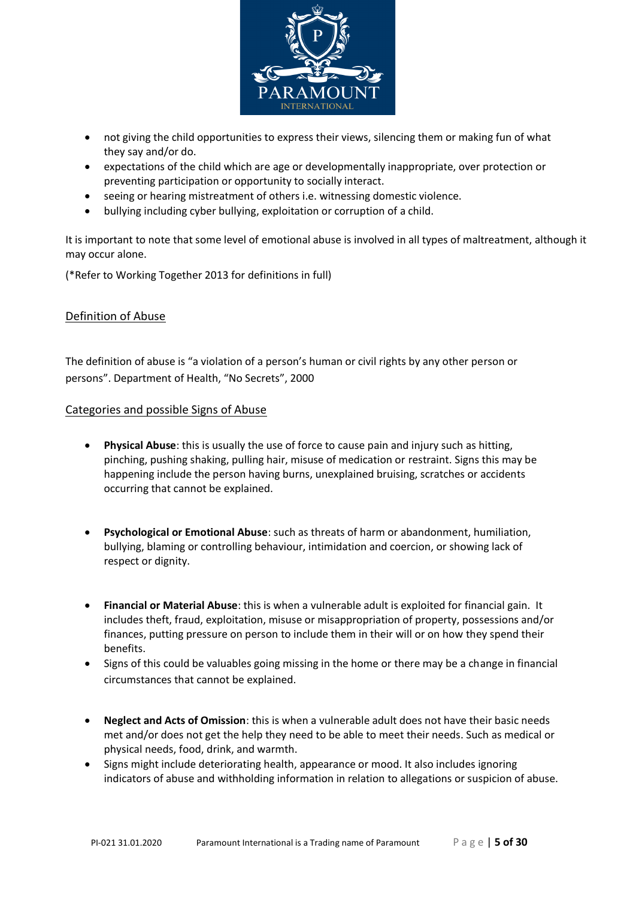

- not giving the child opportunities to express their views, silencing them or making fun of what they say and/or do.
- expectations of the child which are age or developmentally inappropriate, over protection or preventing participation or opportunity to socially interact.
- seeing or hearing mistreatment of others i.e. witnessing domestic violence.
- bullying including cyber bullying, exploitation or corruption of a child.

It is important to note that some level of emotional abuse is involved in all types of maltreatment, although it may occur alone.

(\*Refer to Working Together 2013 for definitions in full)

## Definition of Abuse

The definition of abuse is "a violation of a person's human or civil rights by any other person or persons". Department of Health, "No Secrets", 2000

#### Categories and possible Signs of Abuse

- **Physical Abuse**: this is usually the use of force to cause pain and injury such as hitting, pinching, pushing shaking, pulling hair, misuse of medication or restraint. Signs this may be happening include the person having burns, unexplained bruising, scratches or accidents occurring that cannot be explained.
- **Psychological or Emotional Abuse**: such as threats of harm or abandonment, humiliation, bullying, blaming or controlling behaviour, intimidation and coercion, or showing lack of respect or dignity.
- **Financial or Material Abuse**: this is when a vulnerable adult is exploited for financial gain. It includes theft, fraud, exploitation, misuse or misappropriation of property, possessions and/or finances, putting pressure on person to include them in their will or on how they spend their benefits.
- Signs of this could be valuables going missing in the home or there may be a change in financial circumstances that cannot be explained.
- **Neglect and Acts of Omission**: this is when a vulnerable adult does not have their basic needs met and/or does not get the help they need to be able to meet their needs. Such as medical or physical needs, food, drink, and warmth.
- Signs might include deteriorating health, appearance or mood. It also includes ignoring indicators of abuse and withholding information in relation to allegations or suspicion of abuse.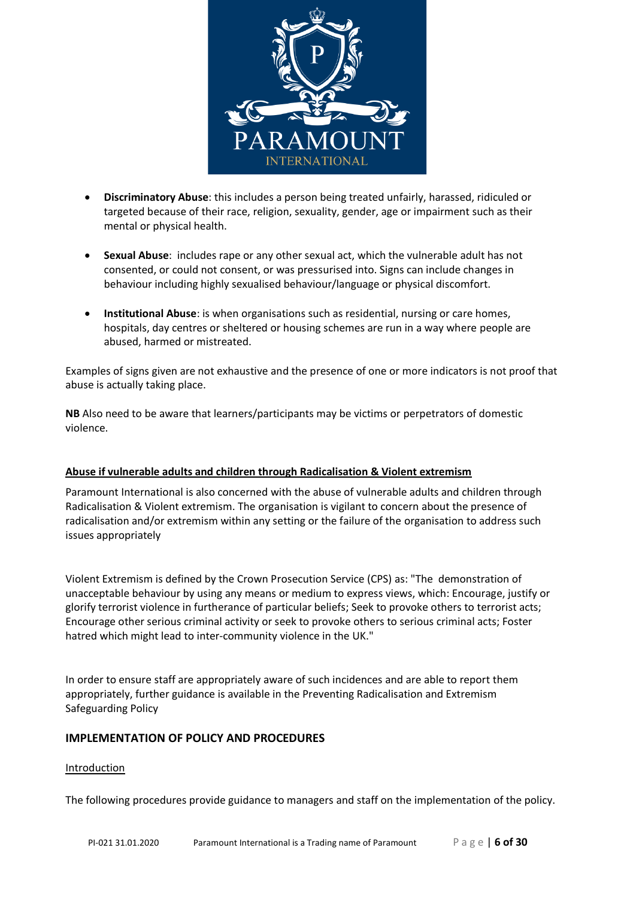

- **Discriminatory Abuse**: this includes a person being treated unfairly, harassed, ridiculed or targeted because of their race, religion, sexuality, gender, age or impairment such as their mental or physical health.
- **Sexual Abuse**: includes rape or any other sexual act, which the vulnerable adult has not consented, or could not consent, or was pressurised into. Signs can include changes in behaviour including highly sexualised behaviour/language or physical discomfort.
- **Institutional Abuse**: is when organisations such as residential, nursing or care homes, hospitals, day centres or sheltered or housing schemes are run in a way where people are abused, harmed or mistreated.

Examples of signs given are not exhaustive and the presence of one or more indicators is not proof that abuse is actually taking place.

**NB** Also need to be aware that learners/participants may be victims or perpetrators of domestic violence.

## **Abuse if vulnerable adults and children through Radicalisation & Violent extremism**

Paramount International is also concerned with the abuse of vulnerable adults and children through Radicalisation & Violent extremism. The organisation is vigilant to concern about the presence of radicalisation and/or extremism within any setting or the failure of the organisation to address such issues appropriately

Violent Extremism is defined by the Crown Prosecution Service (CPS) as: "The demonstration of unacceptable behaviour by using any means or medium to express views, which: Encourage, justify or glorify terrorist violence in furtherance of particular beliefs; Seek to provoke others to terrorist acts; Encourage other serious criminal activity or seek to provoke others to serious criminal acts; Foster hatred which might lead to inter-community violence in the UK."

In order to ensure staff are appropriately aware of such incidences and are able to report them appropriately, further guidance is available in the Preventing Radicalisation and Extremism Safeguarding Policy

## **IMPLEMENTATION OF POLICY AND PROCEDURES**

## Introduction

The following procedures provide guidance to managers and staff on the implementation of the policy.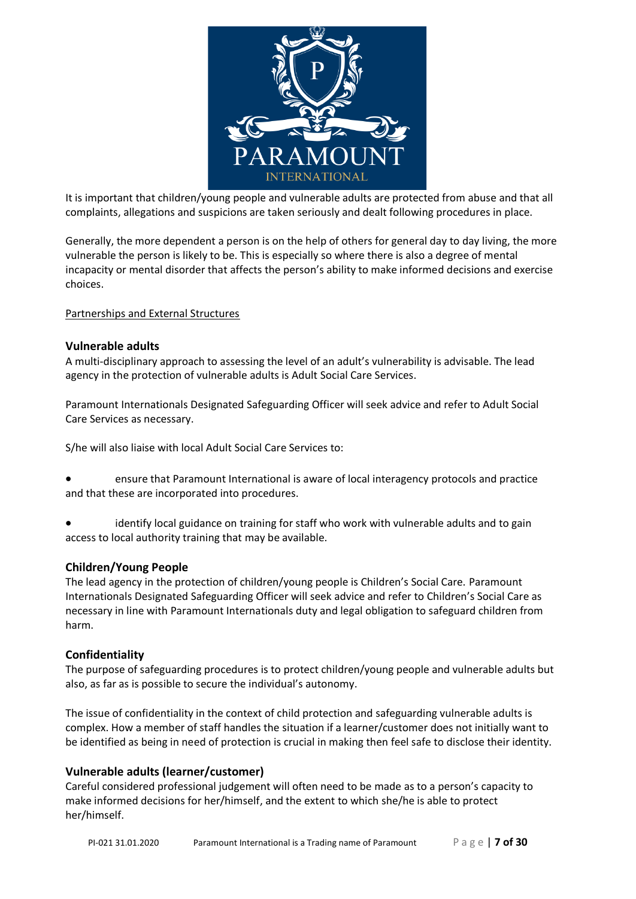

It is important that children/young people and vulnerable adults are protected from abuse and that all complaints, allegations and suspicions are taken seriously and dealt following procedures in place.

Generally, the more dependent a person is on the help of others for general day to day living, the more vulnerable the person is likely to be. This is especially so where there is also a degree of mental incapacity or mental disorder that affects the person's ability to make informed decisions and exercise choices.

#### Partnerships and External Structures

#### **Vulnerable adults**

A multi‐disciplinary approach to assessing the level of an adult's vulnerability is advisable. The lead agency in the protection of vulnerable adults is Adult Social Care Services.

Paramount Internationals Designated Safeguarding Officer will seek advice and refer to Adult Social Care Services as necessary.

S/he will also liaise with local Adult Social Care Services to:

- ensure that Paramount International is aware of local interagency protocols and practice and that these are incorporated into procedures.
- identify local guidance on training for staff who work with vulnerable adults and to gain access to local authority training that may be available.

#### **Children/Young People**

The lead agency in the protection of children/young people is Children's Social Care. Paramount Internationals Designated Safeguarding Officer will seek advice and refer to Children's Social Care as necessary in line with Paramount Internationals duty and legal obligation to safeguard children from harm.

## **Confidentiality**

The purpose of safeguarding procedures is to protect children/young people and vulnerable adults but also, as far as is possible to secure the individual's autonomy.

The issue of confidentiality in the context of child protection and safeguarding vulnerable adults is complex. How a member of staff handles the situation if a learner/customer does not initially want to be identified as being in need of protection is crucial in making then feel safe to disclose their identity.

## **Vulnerable adults (learner/customer)**

Careful considered professional judgement will often need to be made as to a person's capacity to make informed decisions for her/himself, and the extent to which she/he is able to protect her/himself.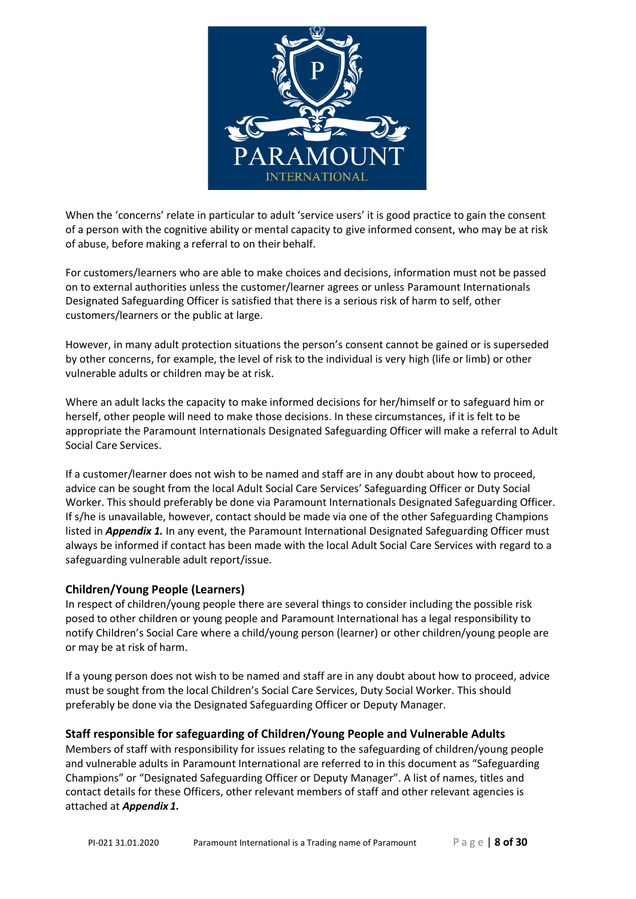

When the 'concerns' relate in particular to adult 'service users' it is good practice to gain the consent of a person with the cognitive ability or mental capacity to give informed consent, who may be at risk of abuse, before making a referral to on their behalf.

For customers/learners who are able to make choices and decisions, information must not be passed on to external authorities unless the customer/learner agrees or unless Paramount Internationals Designated Safeguarding Officer is satisfied that there is a serious risk of harm to self, other customers/learners or the public at large.

However, in many adult protection situations the person's consent cannot be gained or is superseded by other concerns, for example, the level of risk to the individual is very high (life or limb) or other vulnerable adults or children may be at risk.

Where an adult lacks the capacity to make informed decisions for her/himself or to safeguard him or herself, other people will need to make those decisions. In these circumstances, if it is felt to be appropriate the Paramount Internationals Designated Safeguarding Officer will make a referral to Adult Social Care Services.

If a customer/learner does not wish to be named and staff are in any doubt about how to proceed, advice can be sought from the local Adult Social Care Services' Safeguarding Officer or Duty Social Worker. This should preferably be done via Paramount Internationals Designated Safeguarding Officer. If s/he is unavailable, however, contact should be made via one of the other Safeguarding Champions listed in *Appendix 1.* In any event, the Paramount International Designated Safeguarding Officer must always be informed if contact has been made with the local Adult Social Care Services with regard to a safeguarding vulnerable adult report/issue.

## **Children/Young People (Learners)**

In respect of children/young people there are several things to consider including the possible risk posed to other children or young people and Paramount International has a legal responsibility to notify Children's Social Care where a child/young person (learner) or other children/young people are or may be at risk of harm.

If a young person does not wish to be named and staff are in any doubt about how to proceed, advice must be sought from the local Children's Social Care Services, Duty Social Worker. This should preferably be done via the Designated Safeguarding Officer or Deputy Manager.

## **Staff responsible for safeguarding of Children/Young People and Vulnerable Adults**

Members of staff with responsibility for issues relating to the safeguarding of children/young people and vulnerable adults in Paramount International are referred to in this document as "Safeguarding Champions" or "Designated Safeguarding Officer or Deputy Manager". A list of names, titles and contact details for these Officers, other relevant members of staff and other relevant agencies is attached at *Appendix 1.*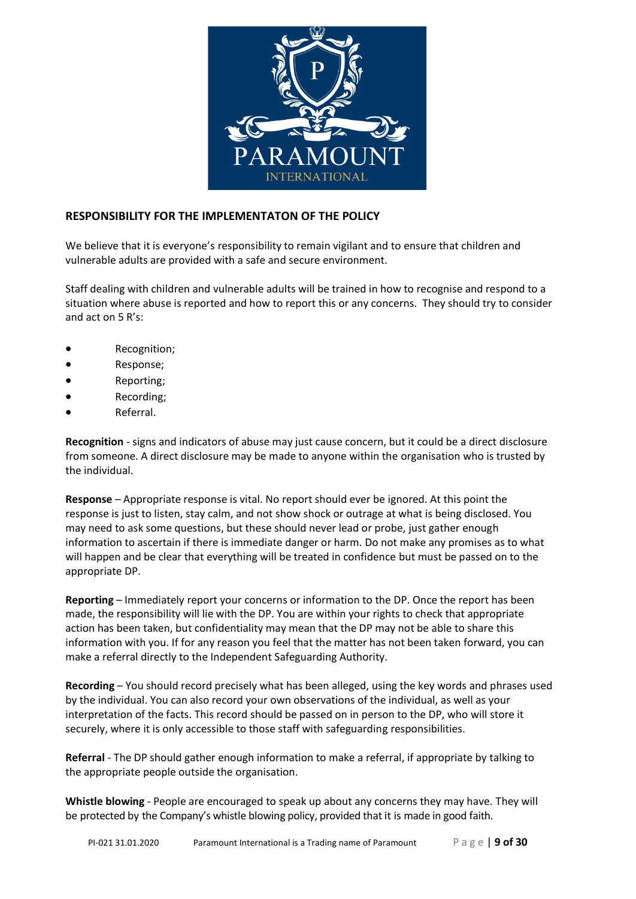

## **RESPONSIBILITY FOR THE IMPLEMENTATON OF THE POLICY**

We believe that it is everyone's responsibility to remain vigilant and to ensure that children and vulnerable adults are provided with a safe and secure environment.

Staff dealing with children and vulnerable adults will be trained in how to recognise and respond to a situation where abuse is reported and how to report this or any concerns. They should try to consider and act on 5 R's:

- Recognition;
- Response;
- Reporting;
- Recording;
- Referral.

**Recognition** ‐ signs and indicators of abuse may just cause concern, but it could be a direct disclosure from someone. A direct disclosure may be made to anyone within the organisation who is trusted by the individual.

**Response** – Appropriate response is vital. No report should ever be ignored. At this point the response is just to listen, stay calm, and not show shock or outrage at what is being disclosed. You may need to ask some questions, but these should never lead or probe, just gather enough information to ascertain if there is immediate danger or harm. Do not make any promises as to what will happen and be clear that everything will be treated in confidence but must be passed on to the appropriate DP.

**Reporting** – Immediately report your concerns or information to the DP. Once the report has been made, the responsibility will lie with the DP. You are within your rights to check that appropriate action has been taken, but confidentiality may mean that the DP may not be able to share this information with you. If for any reason you feel that the matter has not been taken forward, you can make a referral directly to the Independent Safeguarding Authority.

**Recording** – You should record precisely what has been alleged, using the key words and phrases used by the individual. You can also record your own observations of the individual, as well as your interpretation of the facts. This record should be passed on in person to the DP, who will store it securely, where it is only accessible to those staff with safeguarding responsibilities.

**Referral** ‐ The DP should gather enough information to make a referral, if appropriate by talking to the appropriate people outside the organisation.

**Whistle blowing** ‐ People are encouraged to speak up about any concerns they may have. They will be protected by the Company's whistle blowing policy, provided that it is made in good faith.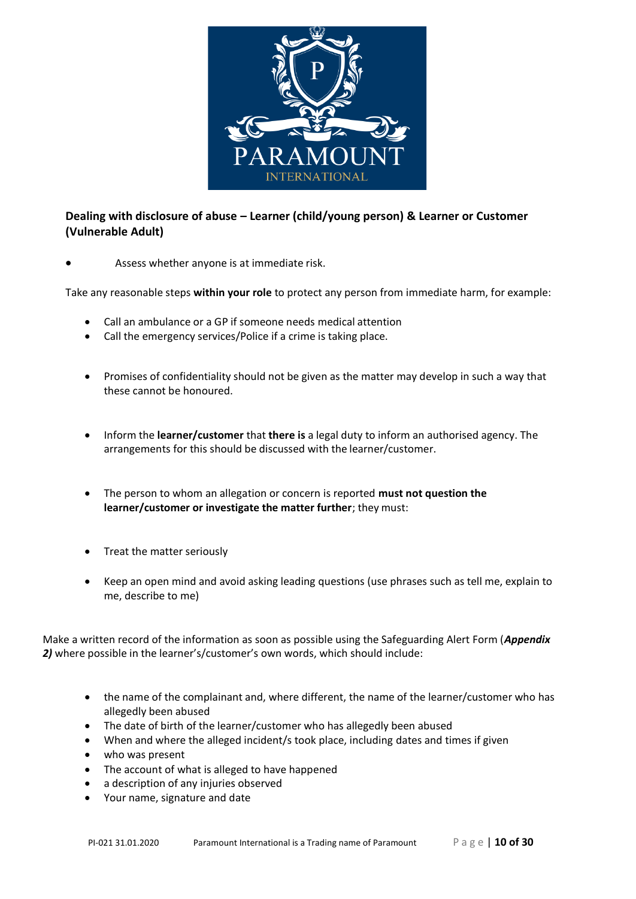

# **Dealing with disclosure of abuse – Learner (child/young person) & Learner or Customer (Vulnerable Adult)**

Assess whether anyone is at immediate risk.

Take any reasonable steps **within your role** to protect any person from immediate harm, for example:

- Call an ambulance or a GP if someone needs medical attention
- Call the emergency services/Police if a crime is taking place.
- Promises of confidentiality should not be given as the matter may develop in such a way that these cannot be honoured.
- Inform the **learner/customer** that **there is** a legal duty to inform an authorised agency. The arrangements for this should be discussed with the learner/customer.
- The person to whom an allegation or concern is reported **must not question the learner/customer or investigate the matter further**; they must:
- Treat the matter seriously
- Keep an open mind and avoid asking leading questions (use phrases such as tell me, explain to me, describe to me)

Make a written record of the information as soon as possible using the Safeguarding Alert Form (*Appendix 2)* where possible in the learner's/customer's own words, which should include:

- the name of the complainant and, where different, the name of the learner/customer who has allegedly been abused
- The date of birth of the learner/customer who has allegedly been abused
- When and where the alleged incident/s took place, including dates and times if given
- who was present
- The account of what is alleged to have happened
- a description of any injuries observed
- Your name, signature and date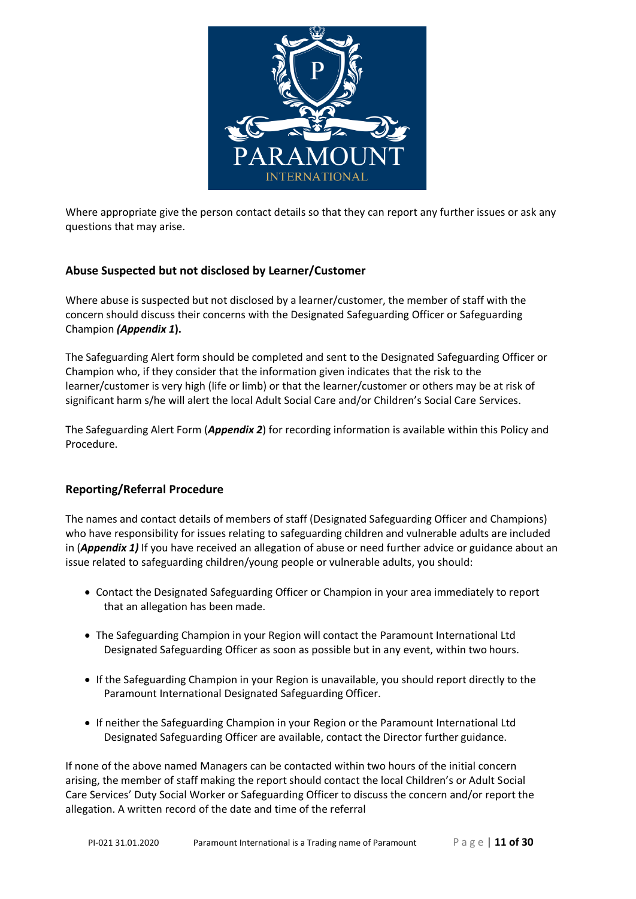

Where appropriate give the person contact details so that they can report any further issues or ask any questions that may arise.

## **Abuse Suspected but not disclosed by Learner/Customer**

Where abuse is suspected but not disclosed by a learner/customer, the member of staff with the concern should discuss their concerns with the Designated Safeguarding Officer or Safeguarding Champion *(Appendix 1***).**

The Safeguarding Alert form should be completed and sent to the Designated Safeguarding Officer or Champion who, if they consider that the information given indicates that the risk to the learner/customer is very high (life or limb) or that the learner/customer or others may be at risk of significant harm s/he will alert the local Adult Social Care and/or Children's Social Care Services.

The Safeguarding Alert Form (*Appendix 2*) for recording information is available within this Policy and Procedure.

## **Reporting/Referral Procedure**

The names and contact details of members of staff (Designated Safeguarding Officer and Champions) who have responsibility for issues relating to safeguarding children and vulnerable adults are included in (*Appendix 1)* If you have received an allegation of abuse or need further advice or guidance about an issue related to safeguarding children/young people or vulnerable adults, you should:

- Contact the Designated Safeguarding Officer or Champion in your area immediately to report that an allegation has been made.
- The Safeguarding Champion in your Region will contact the Paramount International Ltd Designated Safeguarding Officer as soon as possible but in any event, within two hours.
- If the Safeguarding Champion in your Region is unavailable, you should report directly to the Paramount International Designated Safeguarding Officer.
- If neither the Safeguarding Champion in your Region or the Paramount International Ltd Designated Safeguarding Officer are available, contact the Director further guidance.

If none of the above named Managers can be contacted within two hours of the initial concern arising, the member of staff making the report should contact the local Children's or Adult Social Care Services' Duty Social Worker or Safeguarding Officer to discuss the concern and/or report the allegation. A written record of the date and time of the referral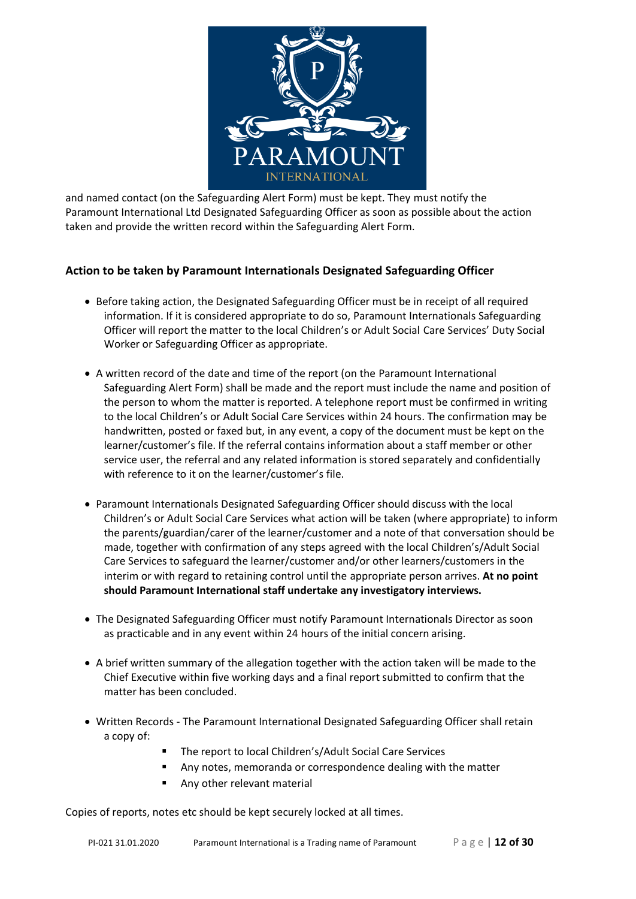

and named contact (on the Safeguarding Alert Form) must be kept. They must notify the Paramount International Ltd Designated Safeguarding Officer as soon as possible about the action taken and provide the written record within the Safeguarding Alert Form.

## **Action to be taken by Paramount Internationals Designated Safeguarding Officer**

- Before taking action, the Designated Safeguarding Officer must be in receipt of all required information. If it is considered appropriate to do so, Paramount Internationals Safeguarding Officer will report the matter to the local Children's or Adult Social Care Services' Duty Social Worker or Safeguarding Officer as appropriate.
- A written record of the date and time of the report (on the Paramount International Safeguarding Alert Form) shall be made and the report must include the name and position of the person to whom the matter is reported. A telephone report must be confirmed in writing to the local Children's or Adult Social Care Services within 24 hours. The confirmation may be handwritten, posted or faxed but, in any event, a copy of the document must be kept on the learner/customer's file. If the referral contains information about a staff member or other service user, the referral and any related information is stored separately and confidentially with reference to it on the learner/customer's file.
- Paramount Internationals Designated Safeguarding Officer should discuss with the local Children's or Adult Social Care Services what action will be taken (where appropriate) to inform the parents/guardian/carer of the learner/customer and a note of that conversation should be made, together with confirmation of any steps agreed with the local Children's/Adult Social Care Services to safeguard the learner/customer and/or other learners/customers in the interim or with regard to retaining control until the appropriate person arrives. **At no point should Paramount International staff undertake any investigatory interviews.**
- The Designated Safeguarding Officer must notify Paramount Internationals Director as soon as practicable and in any event within 24 hours of the initial concern arising.
- A brief written summary of the allegation together with the action taken will be made to the Chief Executive within five working days and a final report submitted to confirm that the matter has been concluded.
- Written Records ‐ The Paramount International Designated Safeguarding Officer shall retain a copy of:
	- The report to local Children's/Adult Social Care Services
	- Any notes, memoranda or correspondence dealing with the matter
	- Any other relevant material

Copies of reports, notes etc should be kept securely locked at all times.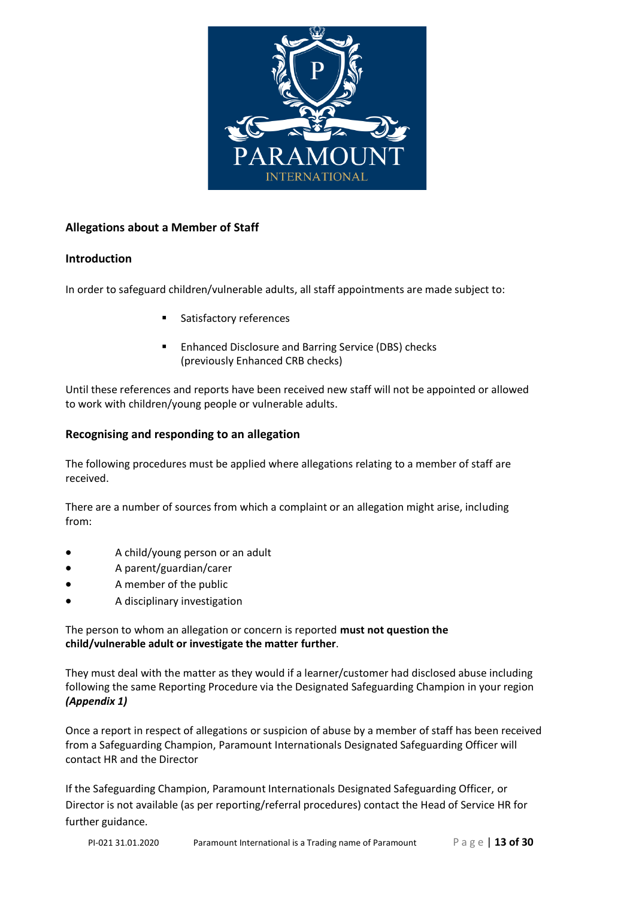

## **Allegations about a Member of Staff**

## **Introduction**

In order to safeguard children/vulnerable adults, all staff appointments are made subject to:

- Satisfactory references
- Enhanced Disclosure and Barring Service (DBS) checks (previously Enhanced CRB checks)

Until these references and reports have been received new staff will not be appointed or allowed to work with children/young people or vulnerable adults.

## **Recognising and responding to an allegation**

The following procedures must be applied where allegations relating to a member of staff are received.

There are a number of sources from which a complaint or an allegation might arise, including from:

- A child/young person or an adult
- A parent/guardian/carer
- A member of the public
- A disciplinary investigation

The person to whom an allegation or concern is reported **must not question the child/vulnerable adult or investigate the matter further**.

They must deal with the matter as they would if a learner/customer had disclosed abuse including following the same Reporting Procedure via the Designated Safeguarding Champion in your region *(Appendix 1)*

Once a report in respect of allegations or suspicion of abuse by a member of staff has been received from a Safeguarding Champion, Paramount Internationals Designated Safeguarding Officer will contact HR and the Director

If the Safeguarding Champion, Paramount Internationals Designated Safeguarding Officer, or Director is not available (as per reporting/referral procedures) contact the Head of Service HR for further guidance.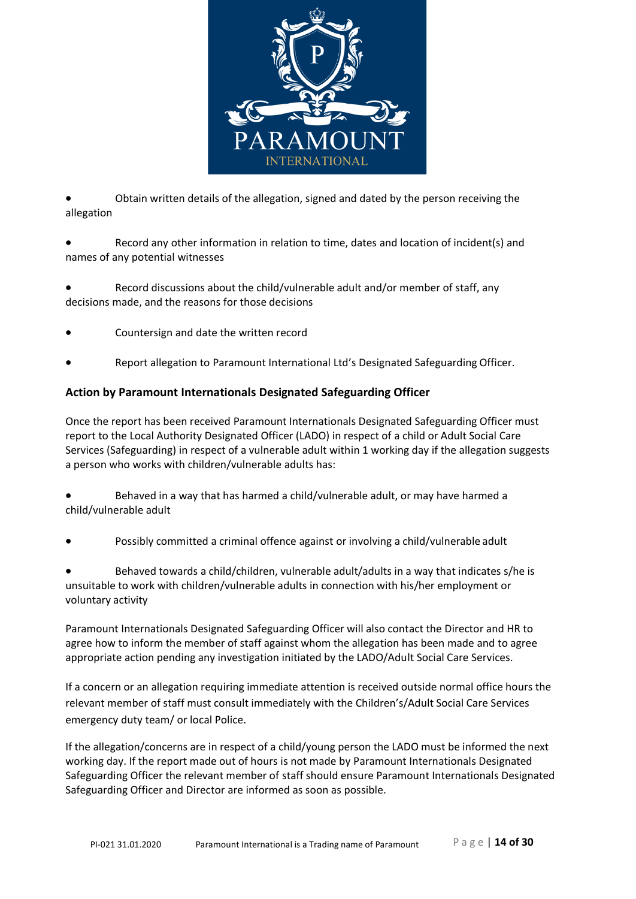

• Obtain written details of the allegation, signed and dated by the person receiving the allegation

• Record any other information in relation to time, dates and location of incident(s) and names of any potential witnesses

Record discussions about the child/vulnerable adult and/or member of staff, any decisions made, and the reasons for those decisions

- Countersign and date the written record
- Report allegation to Paramount International Ltd's Designated Safeguarding Officer.

#### **Action by Paramount Internationals Designated Safeguarding Officer**

Once the report has been received Paramount Internationals Designated Safeguarding Officer must report to the Local Authority Designated Officer (LADO) in respect of a child or Adult Social Care Services (Safeguarding) in respect of a vulnerable adult within 1 working day if the allegation suggests a person who works with children/vulnerable adults has:

• Behaved in a way that has harmed a child/vulnerable adult, or may have harmed a child/vulnerable adult

Possibly committed a criminal offence against or involving a child/vulnerable adult

• Behaved towards a child/children, vulnerable adult/adults in a way that indicates s/he is unsuitable to work with children/vulnerable adults in connection with his/her employment or voluntary activity

Paramount Internationals Designated Safeguarding Officer will also contact the Director and HR to agree how to inform the member of staff against whom the allegation has been made and to agree appropriate action pending any investigation initiated by the LADO/Adult Social Care Services.

If a concern or an allegation requiring immediate attention is received outside normal office hours the relevant member of staff must consult immediately with the Children's/Adult Social Care Services emergency duty team/ or local Police.

If the allegation/concerns are in respect of a child/young person the LADO must be informed the next working day. If the report made out of hours is not made by Paramount Internationals Designated Safeguarding Officer the relevant member of staff should ensure Paramount Internationals Designated Safeguarding Officer and Director are informed as soon as possible.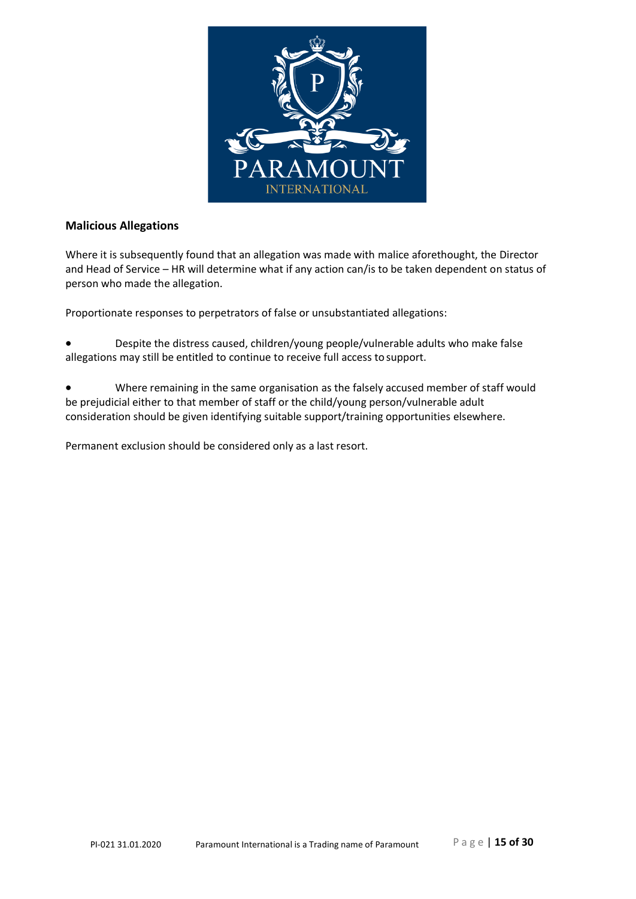

## **Malicious Allegations**

Where it is subsequently found that an allegation was made with malice aforethought, the Director and Head of Service – HR will determine what if any action can/is to be taken dependent on status of person who made the allegation.

Proportionate responses to perpetrators of false or unsubstantiated allegations:

• Despite the distress caused, children/young people/vulnerable adults who make false allegations may still be entitled to continue to receive full access tosupport.

• Where remaining in the same organisation as the falsely accused member of staff would be prejudicial either to that member of staff or the child/young person/vulnerable adult consideration should be given identifying suitable support/training opportunities elsewhere.

Permanent exclusion should be considered only as a last resort.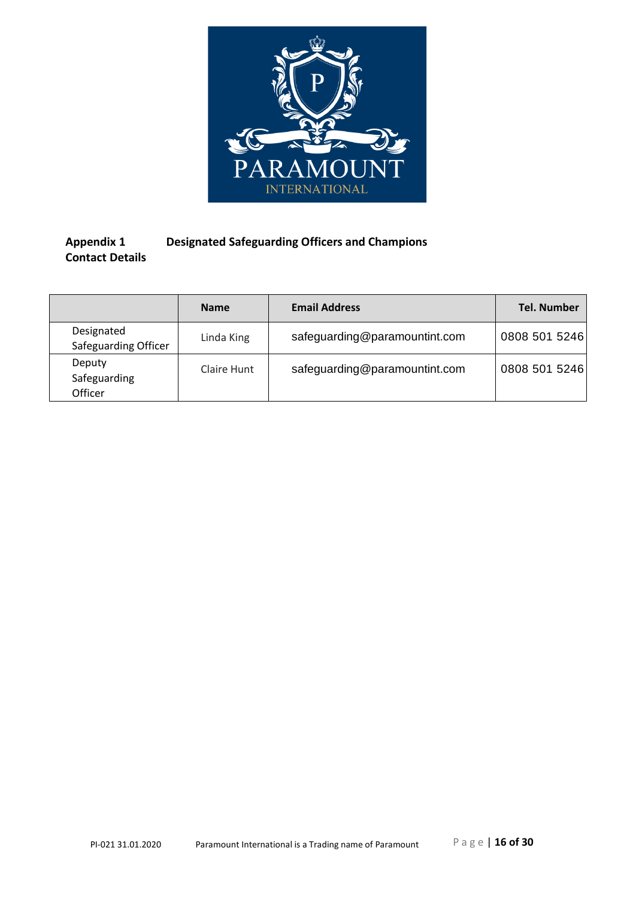

# **Appendix 1 Designated Safeguarding Officers and Champions Contact Details**

|                                    | <b>Name</b> | <b>Email Address</b>          | <b>Tel. Number</b> |
|------------------------------------|-------------|-------------------------------|--------------------|
| Designated<br>Safeguarding Officer | Linda King  | safeguarding@paramountint.com | 0808 501 5246      |
| Deputy<br>Safeguarding<br>Officer  | Claire Hunt | safeguarding@paramountint.com | 0808 501 5246      |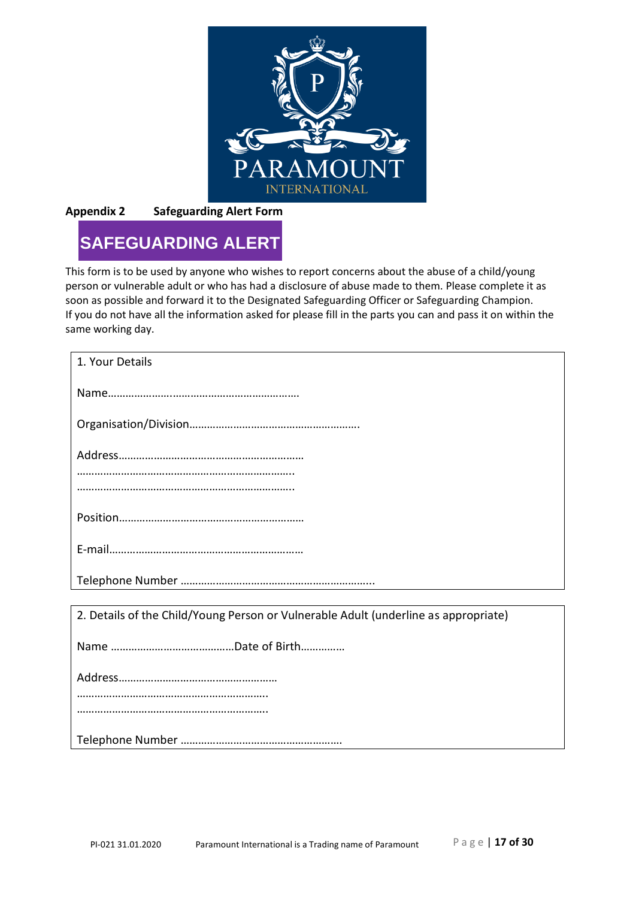

**Appendix 2 Safeguarding Alert Form**

# **SAFEGUARDING ALERT**

This form is to be used by anyone who wishes to report concerns about the abuse of a child/young person or vulnerable adult or who has had a disclosure of abuse made to them. Please complete it as soon as possible and forward it to the Designated Safeguarding Officer or Safeguarding Champion. If you do not have all the information asked for please fill in the parts you can and pass it on within the same working day.

| 1. Your Details                                                                     |
|-------------------------------------------------------------------------------------|
|                                                                                     |
|                                                                                     |
|                                                                                     |
|                                                                                     |
|                                                                                     |
|                                                                                     |
|                                                                                     |
|                                                                                     |
|                                                                                     |
| 2. Details of the Child/Young Person or Vulnerable Adult (underline as appropriate) |
|                                                                                     |
|                                                                                     |
|                                                                                     |
|                                                                                     |
|                                                                                     |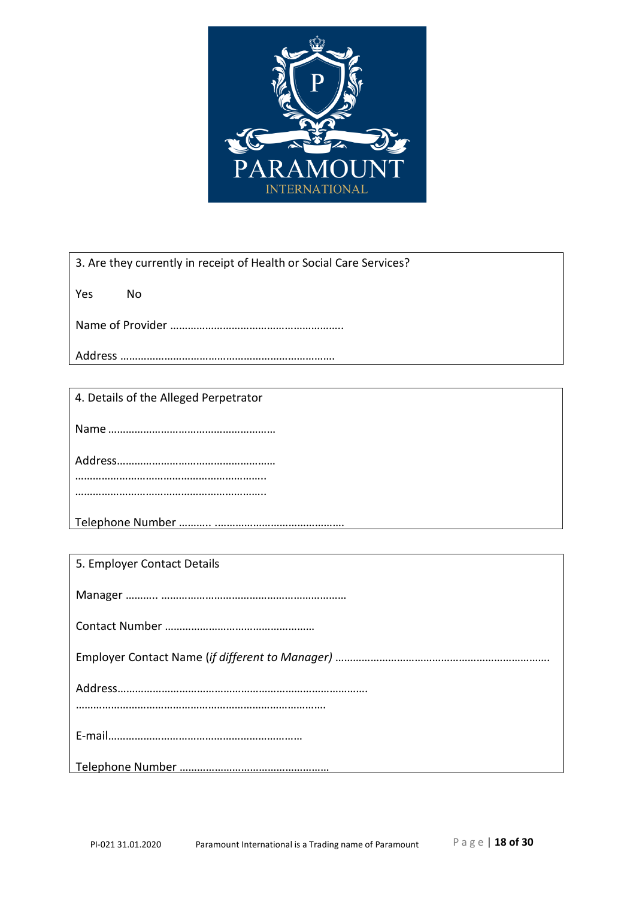

3. Are they currently in receipt of Health or Social Care Services?

Yes No

Name of Provider …………………………………………………..

Address ……………………………………………………………….

4. Details of the Alleged Perpetrator

Name…………………………………………………

Address………………………………………………

………………………………………………………..

………………………………………………………..

Telephone Number ……….. .…………………………………….

5. Employer Contact Details

Manager ……….. ……………………………………………………… Contact Number …………………………………………… Employer Contact Name (*if different to Manager)* ………………………………………………………………. Address…………………………………………………………………………. …………………………………………………………………………. E‐mail………………………………………………………… Telephone Number ……………………………………………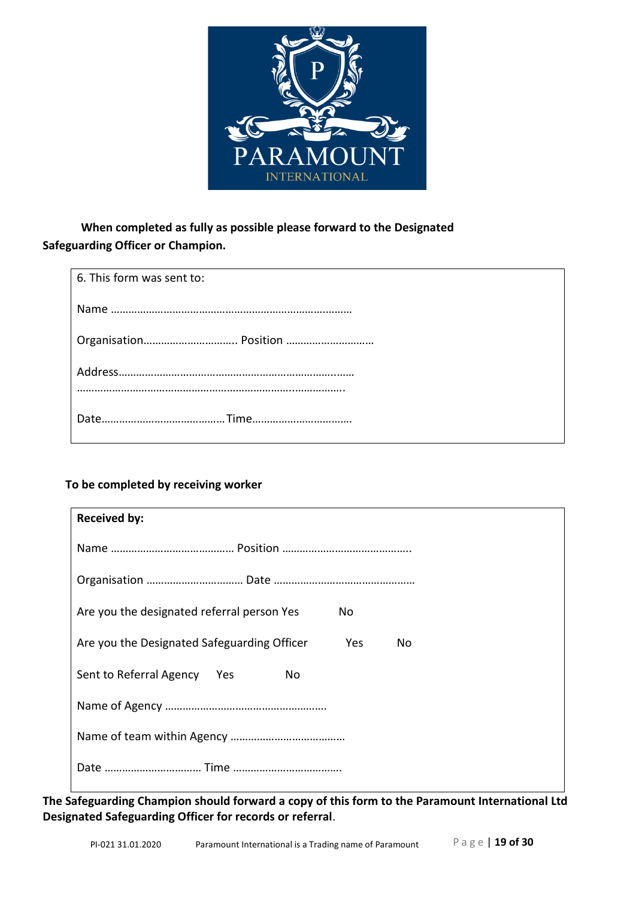

# **When completed as fully as possible please forward to the Designated Safeguarding Officer or Champion.**

| 6. This form was sent to: |
|---------------------------|
|                           |
|                           |
|                           |
|                           |

# **To be completed by receiving worker**

| <b>Received by:</b>                                      |
|----------------------------------------------------------|
|                                                          |
|                                                          |
| Are you the designated referral person Yes<br>No.        |
| Are you the Designated Safeguarding Officer<br>Yes<br>No |
| Sent to Referral Agency Yes<br>No.                       |
|                                                          |
|                                                          |
|                                                          |

**The Safeguarding Champion should forward a copy of this form to the Paramount International Ltd Designated Safeguarding Officer for records or referral**.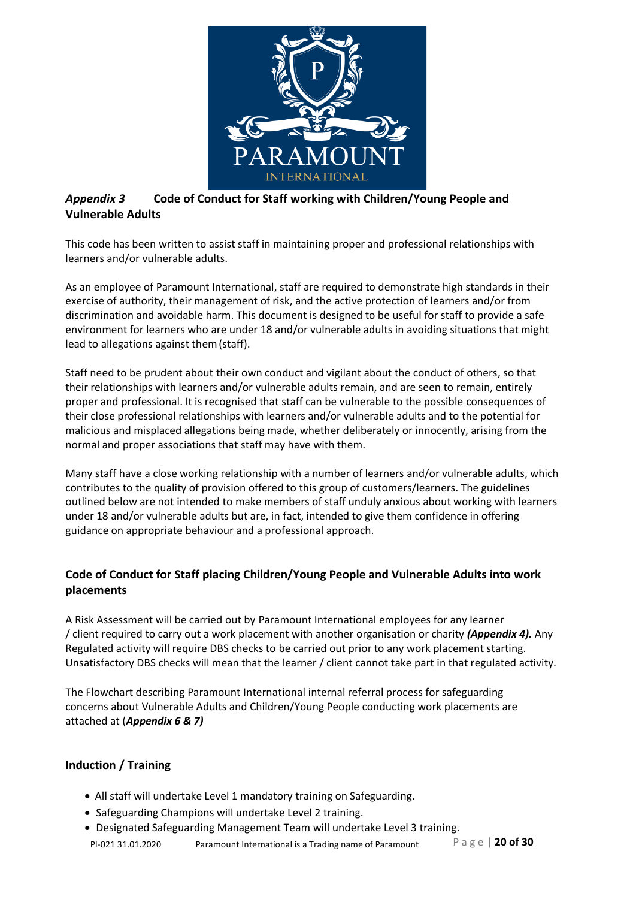

# *Appendix 3* **Code of Conduct for Staff working with Children/Young People and Vulnerable Adults**

This code has been written to assist staff in maintaining proper and professional relationships with learners and/or vulnerable adults.

As an employee of Paramount International, staff are required to demonstrate high standards in their exercise of authority, their management of risk, and the active protection of learners and/or from discrimination and avoidable harm. This document is designed to be useful for staff to provide a safe environment for learners who are under 18 and/or vulnerable adults in avoiding situations that might lead to allegations against them(staff).

Staff need to be prudent about their own conduct and vigilant about the conduct of others, so that their relationships with learners and/or vulnerable adults remain, and are seen to remain, entirely proper and professional. It is recognised that staff can be vulnerable to the possible consequences of their close professional relationships with learners and/or vulnerable adults and to the potential for malicious and misplaced allegations being made, whether deliberately or innocently, arising from the normal and proper associations that staff may have with them.

Many staff have a close working relationship with a number of learners and/or vulnerable adults, which contributes to the quality of provision offered to this group of customers/learners. The guidelines outlined below are not intended to make members of staff unduly anxious about working with learners under 18 and/or vulnerable adults but are, in fact, intended to give them confidence in offering guidance on appropriate behaviour and a professional approach.

# **Code of Conduct for Staff placing Children/Young People and Vulnerable Adults into work placements**

A Risk Assessment will be carried out by Paramount International employees for any learner / client required to carry out a work placement with another organisation or charity *(Appendix 4).* Any Regulated activity will require DBS checks to be carried out prior to any work placement starting. Unsatisfactory DBS checks will mean that the learner / client cannot take part in that regulated activity.

The Flowchart describing Paramount International internal referral process for safeguarding concerns about Vulnerable Adults and Children/Young People conducting work placements are attached at (*Appendix 6 & 7)*

## **Induction / Training**

- All staff will undertake Level 1 mandatory training on Safeguarding.
- Safeguarding Champions will undertake Level 2 training.
- PI-021 31.01.2020 Paramount International is a Trading name of Paramount P a g e | **20 of 30** • Designated Safeguarding Management Team will undertake Level 3 training.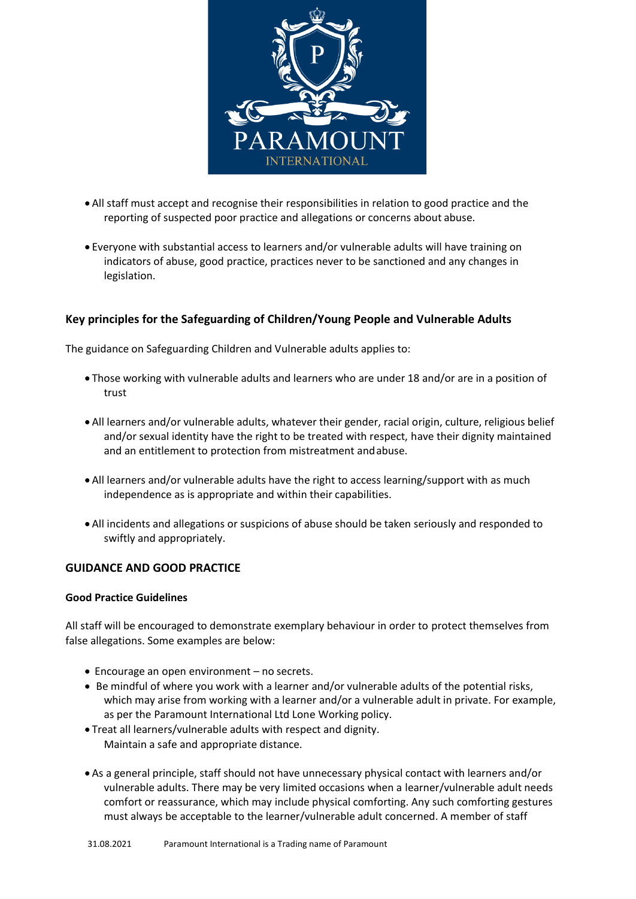

- All staff must accept and recognise their responsibilities in relation to good practice and the reporting of suspected poor practice and allegations or concerns about abuse.
- Everyone with substantial access to learners and/or vulnerable adults will have training on indicators of abuse, good practice, practices never to be sanctioned and any changes in legislation.

## **Key principles for the Safeguarding of Children/Young People and Vulnerable Adults**

The guidance on Safeguarding Children and Vulnerable adults applies to:

- Those working with vulnerable adults and learners who are under 18 and/or are in a position of trust
- All learners and/or vulnerable adults, whatever their gender, racial origin, culture, religious belief and/or sexual identity have the right to be treated with respect, have their dignity maintained and an entitlement to protection from mistreatment andabuse.
- All learners and/or vulnerable adults have the right to access learning/support with as much independence as is appropriate and within their capabilities.
- All incidents and allegations or suspicions of abuse should be taken seriously and responded to swiftly and appropriately.

#### **GUIDANCE AND GOOD PRACTICE**

#### **Good Practice Guidelines**

All staff will be encouraged to demonstrate exemplary behaviour in order to protect themselves from false allegations. Some examples are below:

- Encourage an open environment no secrets.
- Be mindful of where you work with a learner and/or vulnerable adults of the potential risks, which may arise from working with a learner and/or a vulnerable adult in private. For example, as per the Paramount International Ltd Lone Working policy.
- Treat all learners/vulnerable adults with respect and dignity. Maintain a safe and appropriate distance.
- As a general principle, staff should not have unnecessary physical contact with learners and/or vulnerable adults. There may be very limited occasions when a learner/vulnerable adult needs comfort or reassurance, which may include physical comforting. Any such comforting gestures must always be acceptable to the learner/vulnerable adult concerned. A member of staff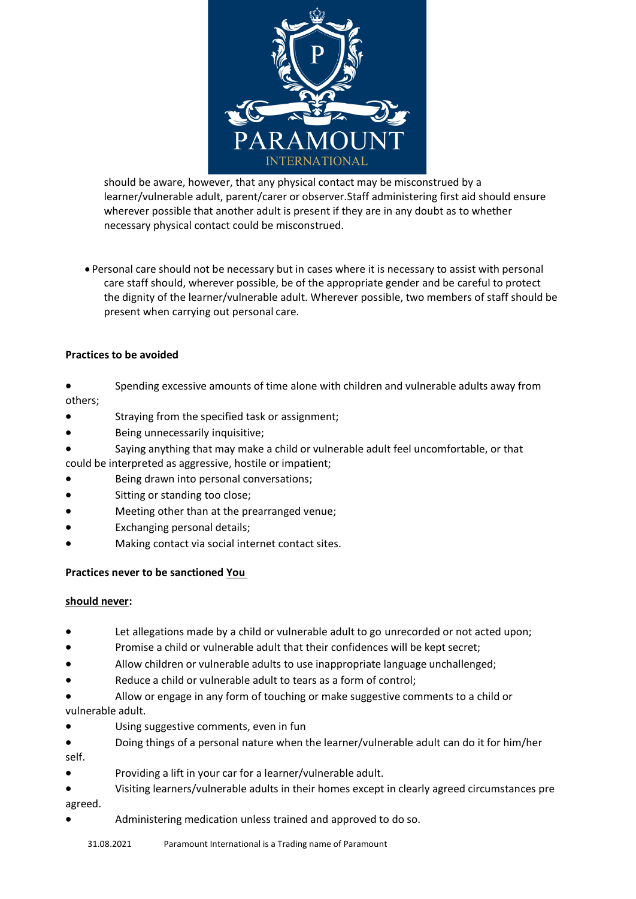

should be aware, however, that any physical contact may be misconstrued by a learner/vulnerable adult, parent/carer or observer.Staff administering first aid should ensure wherever possible that another adult is present if they are in any doubt as to whether necessary physical contact could be misconstrued.

• Personal care should not be necessary but in cases where it is necessary to assist with personal care staff should, wherever possible, be of the appropriate gender and be careful to protect the dignity of the learner/vulnerable adult. Wherever possible, two members of staff should be present when carrying out personal care.

#### **Practices to be avoided**

- Spending excessive amounts of time alone with children and vulnerable adults away from others;
- Straying from the specified task or assignment;
- Being unnecessarily inquisitive;
- Saying anything that may make a child or vulnerable adult feel uncomfortable, or that
- could be interpreted as aggressive, hostile or impatient;
- Being drawn into personal conversations;
- Sitting or standing too close;
- Meeting other than at the prearranged venue;
- Exchanging personal details;
- Making contact via social internet contact sites.

#### **Practices never to be sanctioned You**

#### **should never:**

- Let allegations made by a child or vulnerable adult to go unrecorded or not acted upon;
- Promise a child or vulnerable adult that their confidences will be kept secret;
- Allow children or vulnerable adults to use inappropriate language unchallenged;
- Reduce a child or vulnerable adult to tears as a form of control;
- Allow or engage in any form of touching or make suggestive comments to a child or vulnerable adult.
- Using suggestive comments, even in fun
- Doing things of a personal nature when the learner/vulnerable adult can do it for him/her self.
- Providing a lift in your car for a learner/vulnerable adult.
- Visiting learners/vulnerable adults in their homes except in clearly agreed circumstances pre agreed.
- Administering medication unless trained and approved to do so.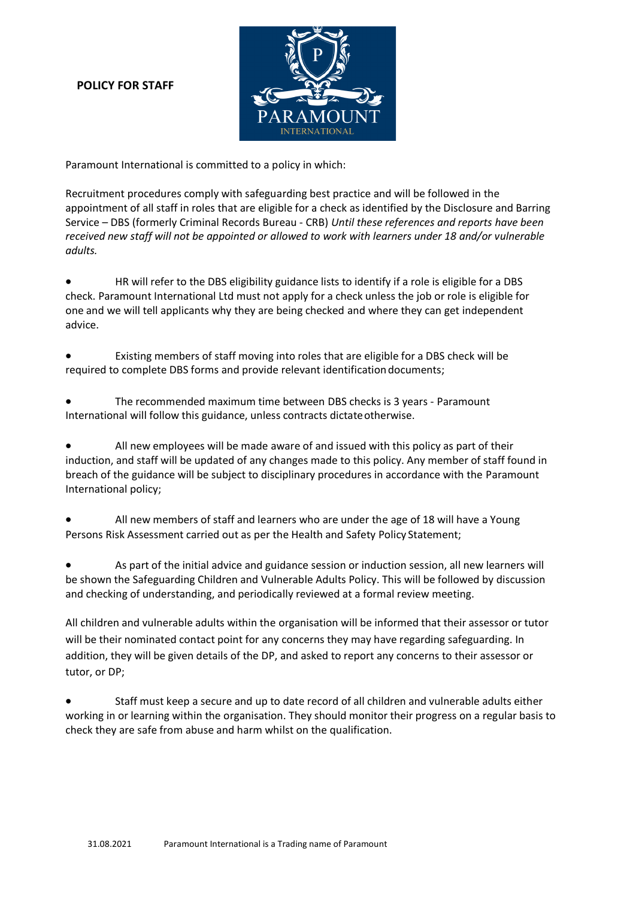## **POLICY FOR STAFF**



Paramount International is committed to a policy in which:

Recruitment procedures comply with safeguarding best practice and will be followed in the appointment of all staff in roles that are eligible for a check as identified by the Disclosure and Barring Service – DBS (formerly Criminal Records Bureau ‐ CRB) *Until these references and reports have been received new staff will not be appointed or allowed to work with learners under 18 and/or vulnerable adults.*

• HR will refer to the DBS eligibility guidance lists to identify if a role is eligible for a DBS check. Paramount International Ltd must not apply for a check unless the job or role is eligible for one and we will tell applicants why they are being checked and where they can get independent advice.

• Existing members of staff moving into roles that are eligible for a DBS check will be required to complete DBS forms and provide relevant identification documents;

• The recommended maximum time between DBS checks is 3 years ‐ Paramount International will follow this guidance, unless contracts dictateotherwise.

• All new employees will be made aware of and issued with this policy as part of their induction, and staff will be updated of any changes made to this policy. Any member of staff found in breach of the guidance will be subject to disciplinary procedures in accordance with the Paramount International policy;

• All new members of staff and learners who are under the age of 18 will have a Young Persons Risk Assessment carried out as per the Health and Safety Policy Statement;

As part of the initial advice and guidance session or induction session, all new learners will be shown the Safeguarding Children and Vulnerable Adults Policy. This will be followed by discussion and checking of understanding, and periodically reviewed at a formal review meeting.

All children and vulnerable adults within the organisation will be informed that their assessor or tutor will be their nominated contact point for any concerns they may have regarding safeguarding. In addition, they will be given details of the DP, and asked to report any concerns to their assessor or tutor, or DP;

• Staff must keep a secure and up to date record of all children and vulnerable adults either working in or learning within the organisation. They should monitor their progress on a regular basis to check they are safe from abuse and harm whilst on the qualification.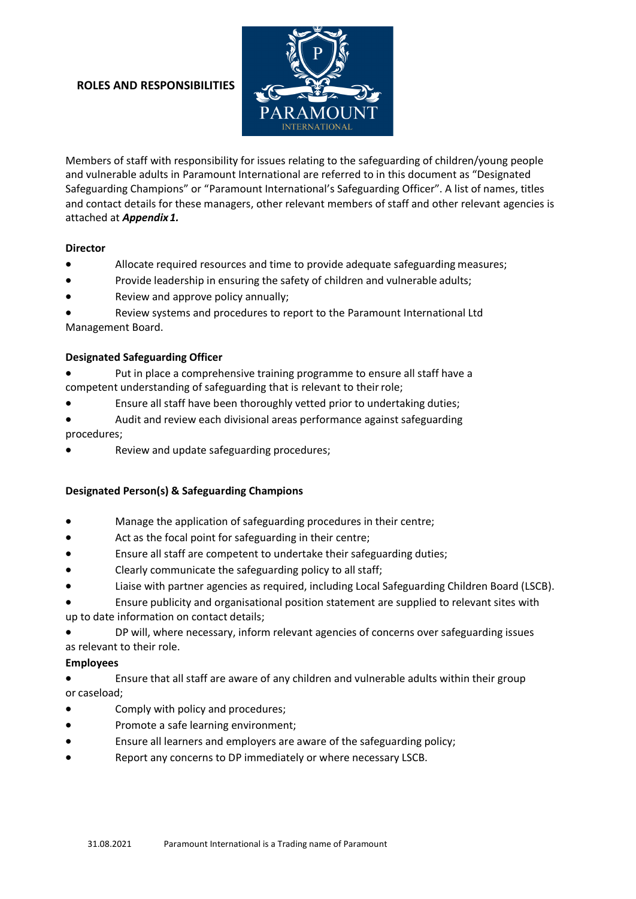#### **ROLES AND RESPONSIBILITIES**



Members of staff with responsibility for issues relating to the safeguarding of children/young people and vulnerable adults in Paramount International are referred to in this document as "Designated Safeguarding Champions" or "Paramount International's Safeguarding Officer". A list of names, titles and contact details for these managers, other relevant members of staff and other relevant agencies is attached at *Appendix1.*

#### **Director**

- Allocate required resources and time to provide adequate safeguarding measures;
- Provide leadership in ensuring the safety of children and vulnerable adults;
- Review and approve policy annually;

• Review systems and procedures to report to the Paramount International Ltd Management Board.

#### **Designated Safeguarding Officer**

Put in place a comprehensive training programme to ensure all staff have a competent understanding of safeguarding that is relevant to their role;

- Ensure all staff have been thoroughly vetted prior to undertaking duties;
- Audit and review each divisional areas performance against safeguarding procedures;
- Review and update safeguarding procedures;

#### **Designated Person(s) & Safeguarding Champions**

- Manage the application of safeguarding procedures in their centre;
- Act as the focal point for safeguarding in their centre;
- Ensure all staff are competent to undertake their safeguarding duties;
- Clearly communicate the safeguarding policy to all staff;
- Liaise with partner agencies as required, including Local Safeguarding Children Board (LSCB).

• Ensure publicity and organisational position statement are supplied to relevant sites with up to date information on contact details;

• DP will, where necessary, inform relevant agencies of concerns over safeguarding issues as relevant to their role.

#### **Employees**

• Ensure that all staff are aware of any children and vulnerable adults within their group or caseload;

- Comply with policy and procedures;
- Promote a safe learning environment;
- Ensure all learners and employers are aware of the safeguarding policy;
- Report any concerns to DP immediately or where necessary LSCB.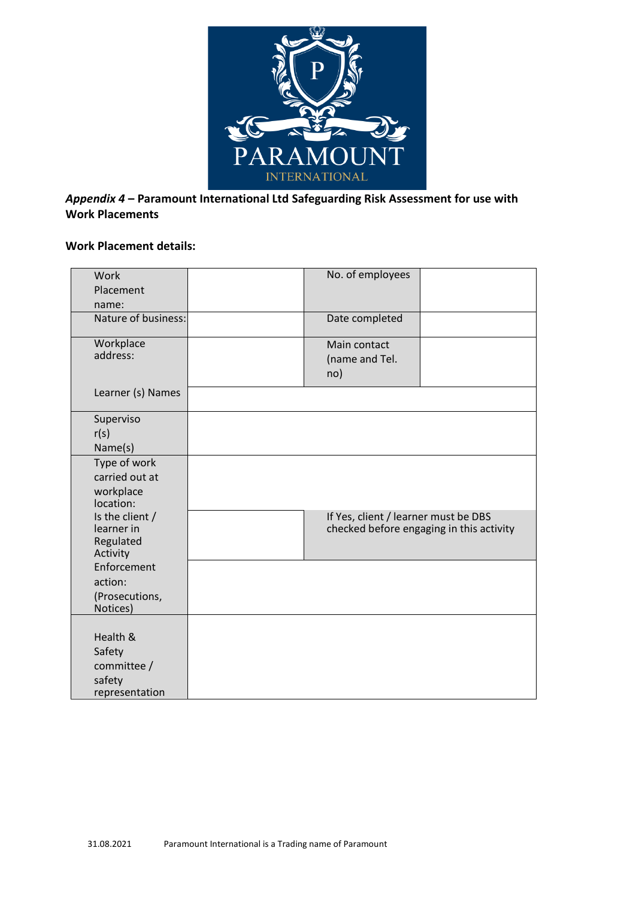

# *Appendix 4* **– Paramount International Ltd Safeguarding Risk Assessment for use with Work Placements**

## **Work Placement details:**

| Work<br>Placement                                             | No. of employees                      |                                          |
|---------------------------------------------------------------|---------------------------------------|------------------------------------------|
| name:<br>Nature of business:                                  | Date completed                        |                                          |
| Workplace<br>address:                                         | Main contact<br>(name and Tel.<br>no) |                                          |
| Learner (s) Names                                             |                                       |                                          |
| Superviso<br>r(s)<br>Name(s)                                  |                                       |                                          |
| Type of work<br>carried out at<br>workplace<br>location:      |                                       |                                          |
| Is the client /<br>learner in<br>Regulated<br>Activity        | If Yes, client / learner must be DBS  | checked before engaging in this activity |
| Enforcement<br>action:<br>(Prosecutions,<br>Notices)          |                                       |                                          |
| Health &<br>Safety<br>committee /<br>safety<br>representation |                                       |                                          |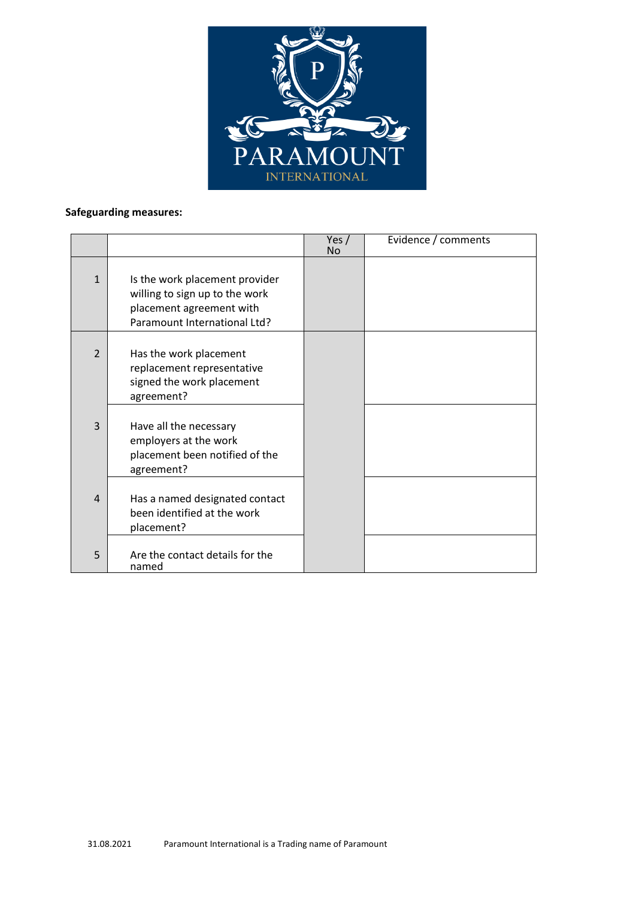

# **Safeguarding measures:**

|                |                                                                                                                              | Yes $/$<br><b>No</b> | Evidence / comments |
|----------------|------------------------------------------------------------------------------------------------------------------------------|----------------------|---------------------|
| $\mathbf{1}$   | Is the work placement provider<br>willing to sign up to the work<br>placement agreement with<br>Paramount International Ltd? |                      |                     |
| $\overline{2}$ | Has the work placement<br>replacement representative<br>signed the work placement<br>agreement?                              |                      |                     |
| 3              | Have all the necessary<br>employers at the work<br>placement been notified of the<br>agreement?                              |                      |                     |
| $\overline{4}$ | Has a named designated contact<br>been identified at the work<br>placement?                                                  |                      |                     |
| 5              | Are the contact details for the<br>named                                                                                     |                      |                     |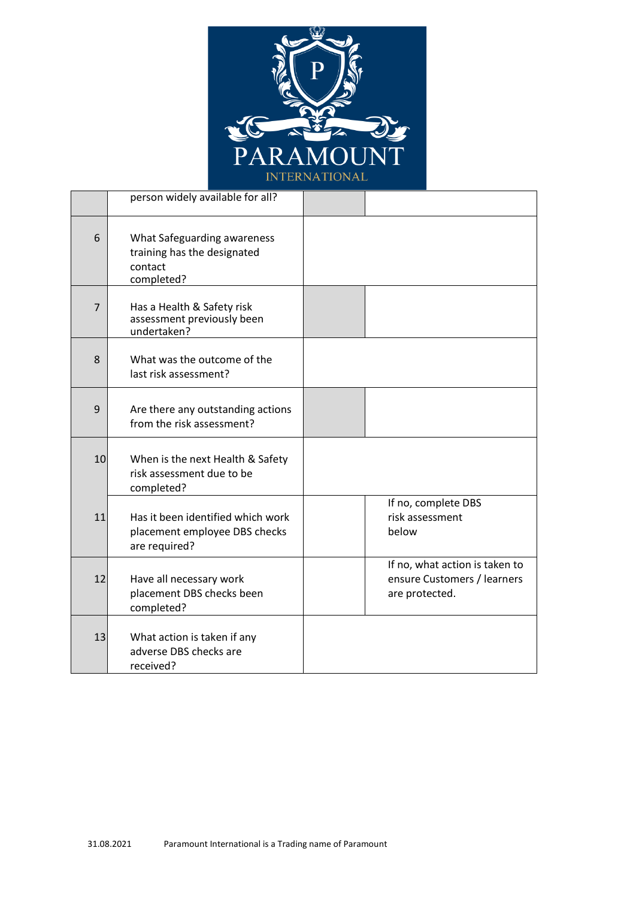

|                | person widely available for all?                                                    |                                                                                 |
|----------------|-------------------------------------------------------------------------------------|---------------------------------------------------------------------------------|
| 6              | What Safeguarding awareness<br>training has the designated<br>contact<br>completed? |                                                                                 |
| $\overline{7}$ | Has a Health & Safety risk<br>assessment previously been<br>undertaken?             |                                                                                 |
| 8              | What was the outcome of the<br>last risk assessment?                                |                                                                                 |
| 9              | Are there any outstanding actions<br>from the risk assessment?                      |                                                                                 |
| 10             | When is the next Health & Safety<br>risk assessment due to be<br>completed?         |                                                                                 |
| 11             | Has it been identified which work<br>placement employee DBS checks<br>are required? | If no, complete DBS<br>risk assessment<br>below                                 |
| 12             | Have all necessary work<br>placement DBS checks been<br>completed?                  | If no, what action is taken to<br>ensure Customers / learners<br>are protected. |
| 13             | What action is taken if any<br>adverse DBS checks are<br>received?                  |                                                                                 |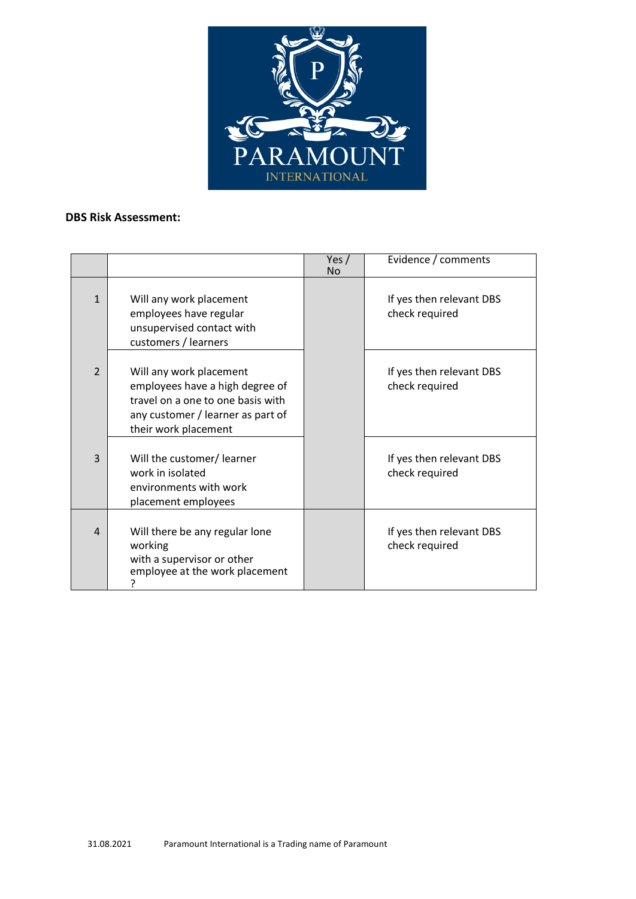

## **DBS Risk Assessment:**

|                |                                                                                                                                                              | Yes $/$<br>No | Evidence / comments                        |
|----------------|--------------------------------------------------------------------------------------------------------------------------------------------------------------|---------------|--------------------------------------------|
| $\mathbf{1}$   | Will any work placement<br>employees have regular<br>unsupervised contact with<br>customers / learners                                                       |               | If yes then relevant DBS<br>check required |
| $\overline{2}$ | Will any work placement<br>employees have a high degree of<br>travel on a one to one basis with<br>any customer / learner as part of<br>their work placement |               | If yes then relevant DBS<br>check required |
| 3              | Will the customer/ learner<br>work in isolated<br>environments with work<br>placement employees                                                              |               | If yes then relevant DBS<br>check required |
| 4              | Will there be any regular lone<br>working<br>with a supervisor or other<br>employee at the work placement                                                    |               | If yes then relevant DBS<br>check required |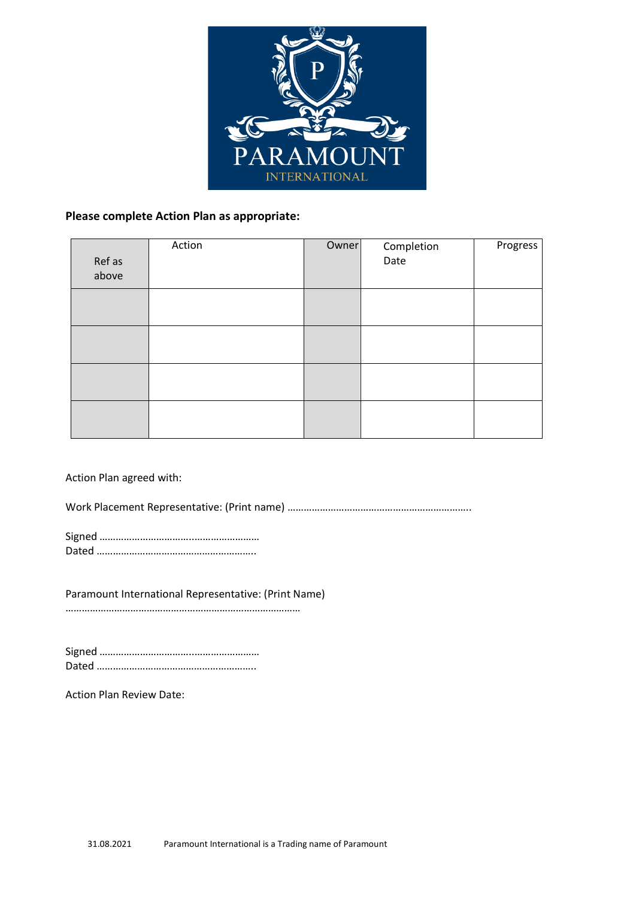

## **Please complete Action Plan as appropriate:**

| Ref as<br>above | Action | Owner | Completion<br>Date | Progress |
|-----------------|--------|-------|--------------------|----------|
|                 |        |       |                    |          |
|                 |        |       |                    |          |
|                 |        |       |                    |          |
|                 |        |       |                    |          |

#### Action Plan agreed with:

Work Placement Representative: (Print name) …………………………………………………………..

Paramount International Representative: (Print Name)

……………………………………………………………………………

Action Plan Review Date: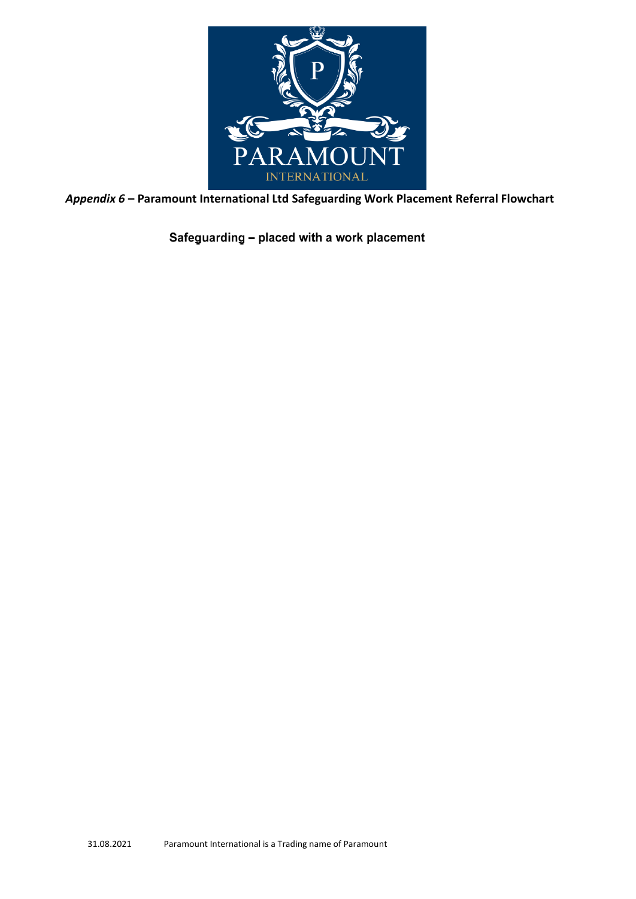

*Appendix 6* **– Paramount International Ltd Safeguarding Work Placement Referral Flowchart**

Safeguarding - placed with a work placement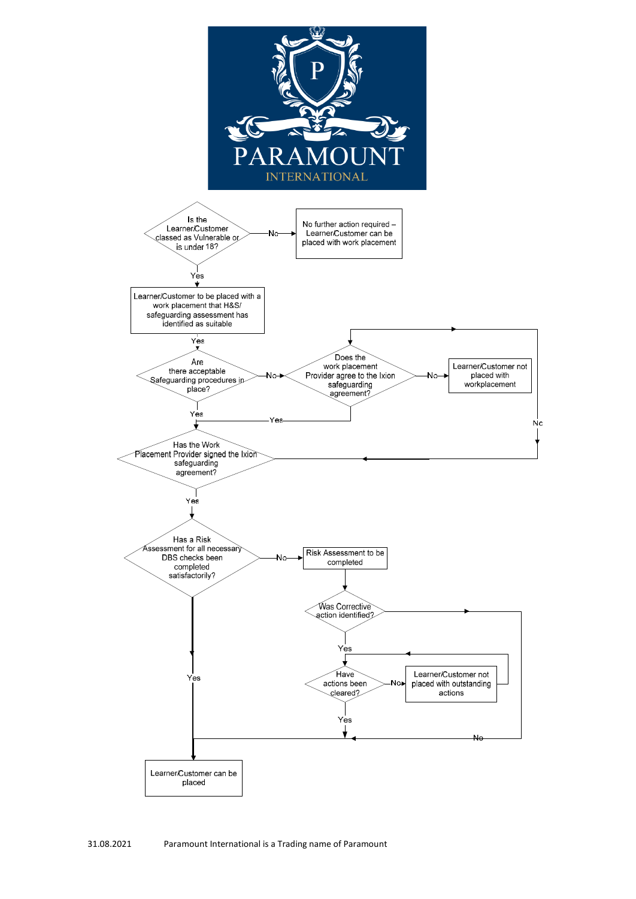